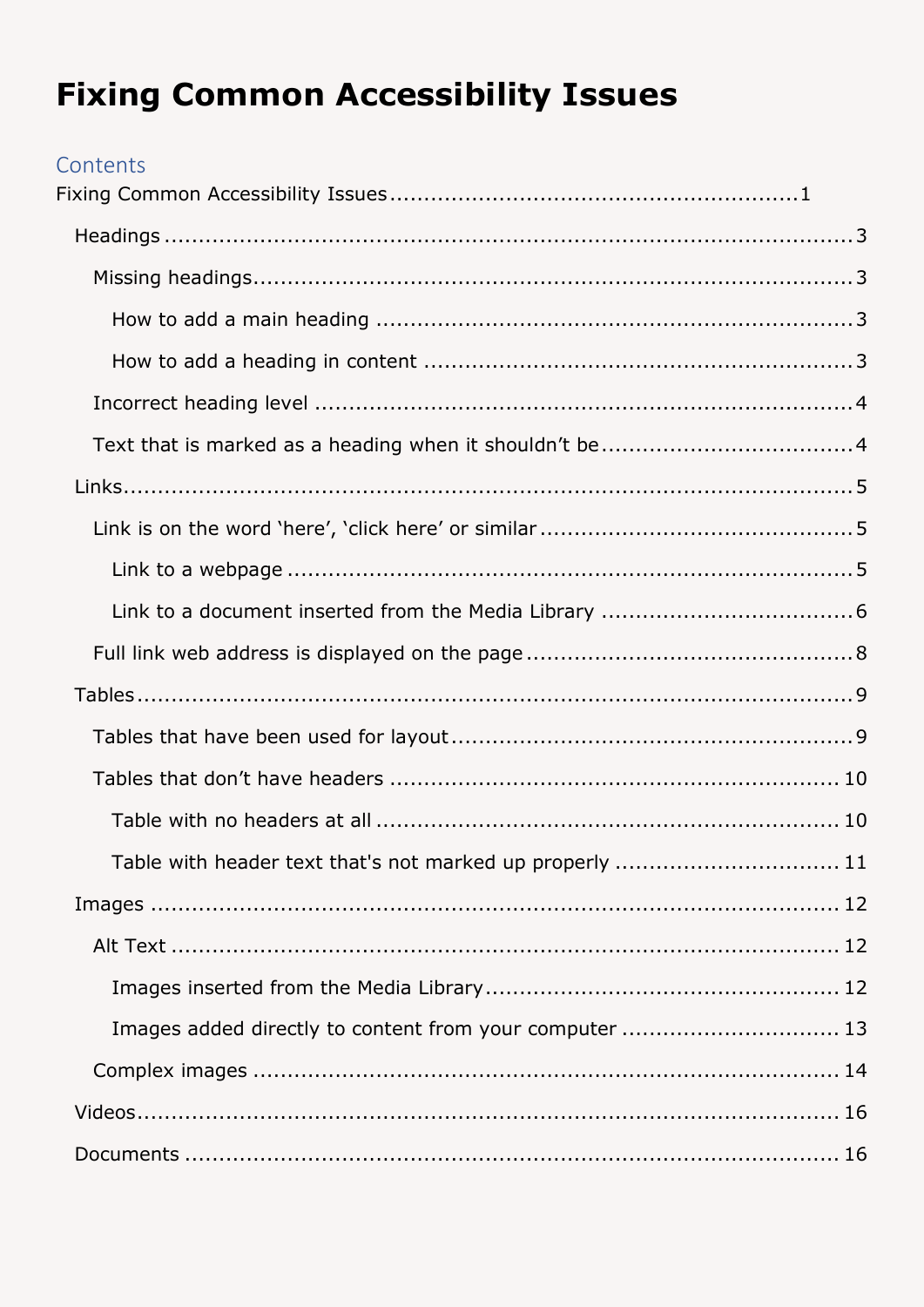# <span id="page-0-0"></span>**Fixing Common Accessibility Issues**

#### Contents

| Table with header text that's not marked up properly  11 |  |
|----------------------------------------------------------|--|
|                                                          |  |
|                                                          |  |
|                                                          |  |
| Images added directly to content from your computer  13  |  |
|                                                          |  |
|                                                          |  |
|                                                          |  |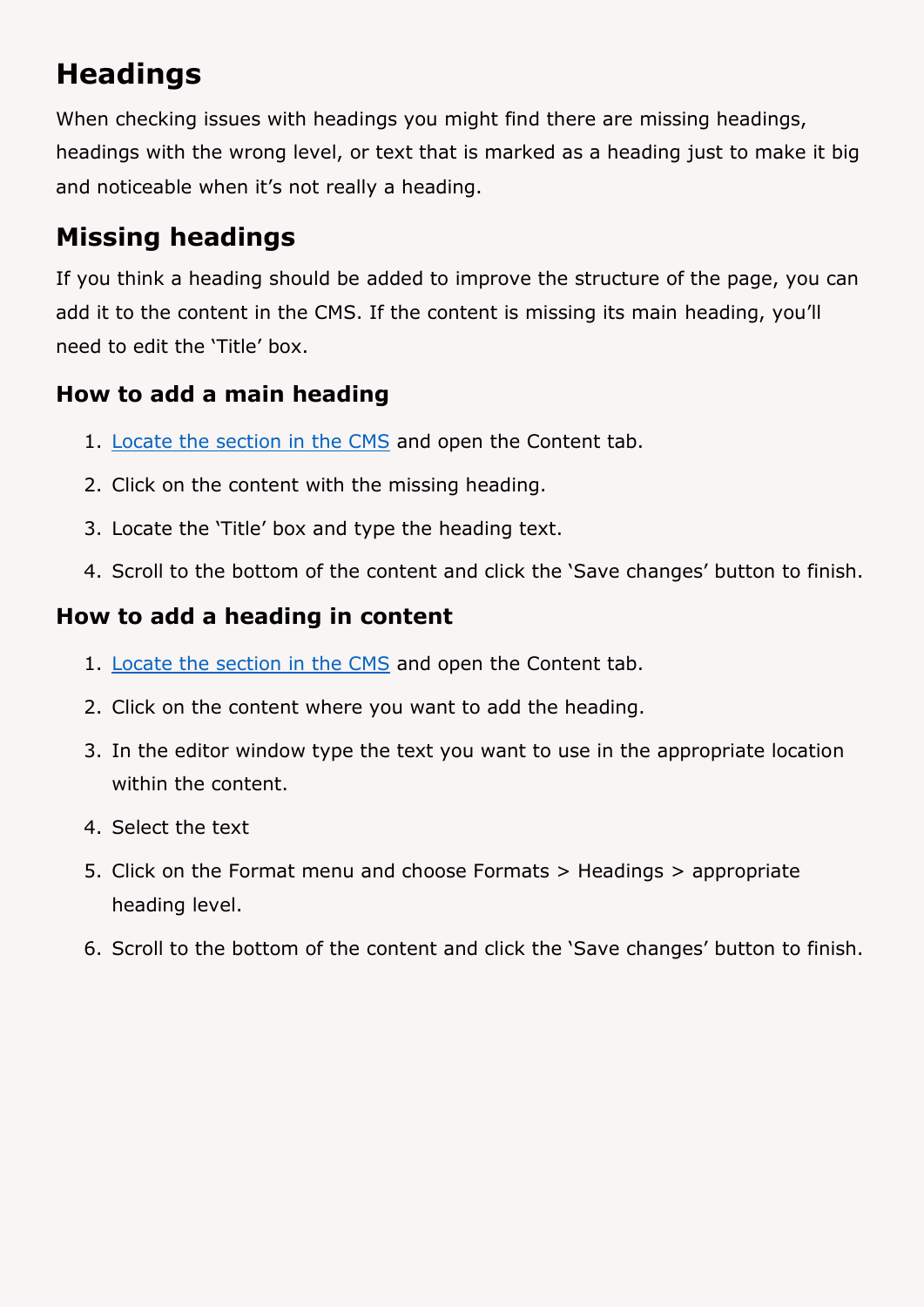# <span id="page-2-0"></span>**Headings**

When checking issues with headings you might find there are missing headings, headings with the wrong level, or text that is marked as a heading just to make it big and noticeable when it's not really a heading.

# <span id="page-2-1"></span>**Missing headings**

If you think a heading should be added to improve the structure of the page, you can add it to the content in the CMS. If the content is missing its main heading, you'll need to edit the 'Title' box.

### <span id="page-2-2"></span>**How to add a main heading**

- 1. [Locate the section in the CMS](https://faqs.aber.ac.uk/index.php?id=2304) and open the Content tab.
- 2. Click on the content with the missing heading.
- 3. Locate the 'Title' box and type the heading text.
- 4. Scroll to the bottom of the content and click the 'Save changes' button to finish.

### <span id="page-2-3"></span>**How to add a heading in content**

- 1. [Locate the section in the CMS](https://faqs.aber.ac.uk/index.php?id=2304) and open the Content tab.
- 2. Click on the content where you want to add the heading.
- 3. In the editor window type the text you want to use in the appropriate location within the content.
- 4. Select the text
- 5. Click on the Format menu and choose Formats > Headings > appropriate heading level.
- 6. Scroll to the bottom of the content and click the 'Save changes' button to finish.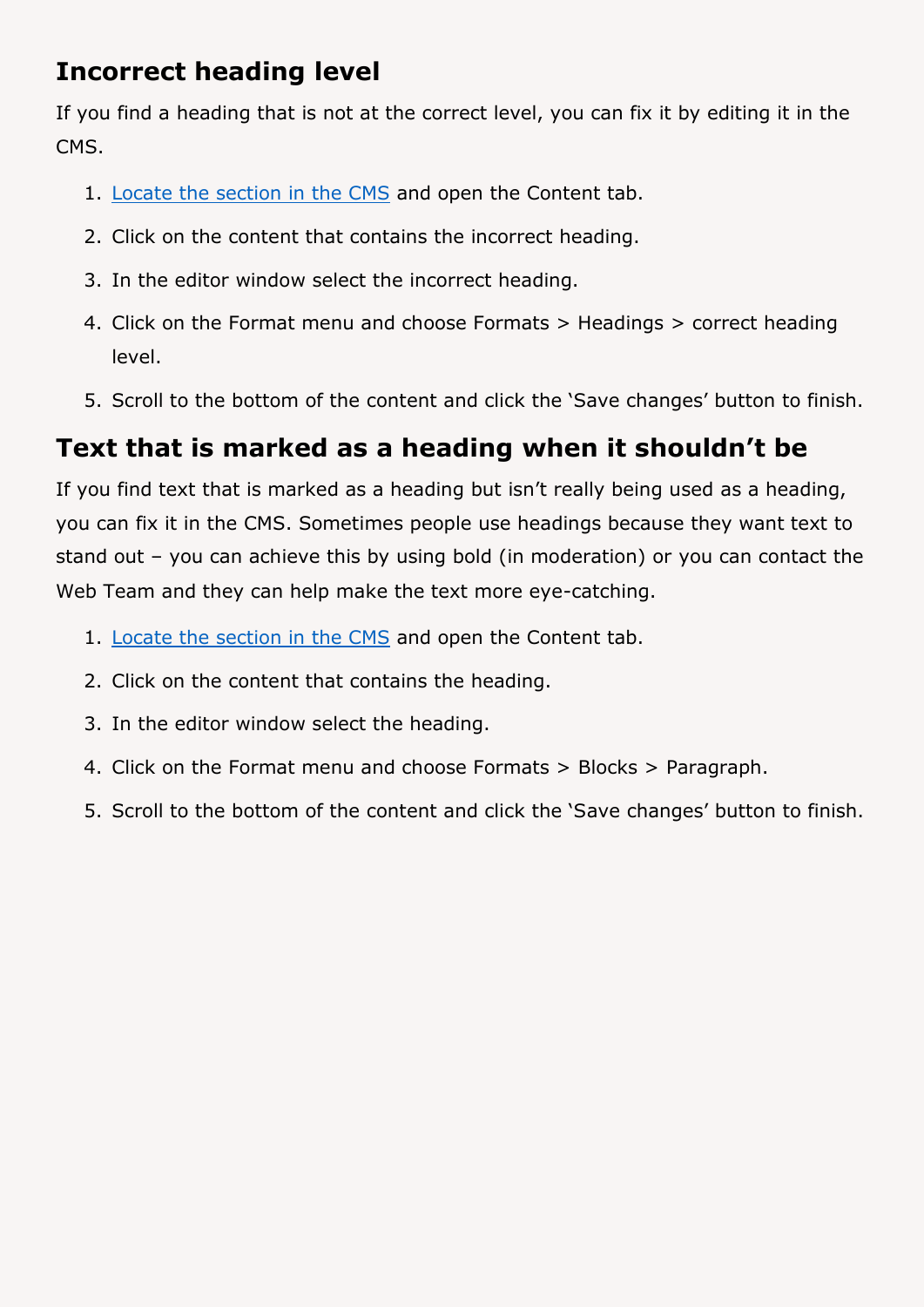## <span id="page-3-0"></span>**Incorrect heading level**

If you find a heading that is not at the correct level, you can fix it by editing it in the CMS.

- 1. [Locate the section in the CMS](https://faqs.aber.ac.uk/index.php?id=2304) and open the Content tab.
- 2. Click on the content that contains the incorrect heading.
- 3. In the editor window select the incorrect heading.
- 4. Click on the Format menu and choose Formats > Headings > correct heading level.
- 5. Scroll to the bottom of the content and click the 'Save changes' button to finish.

## <span id="page-3-1"></span>**Text that is marked as a heading when it shouldn't be**

If you find text that is marked as a heading but isn't really being used as a heading, you can fix it in the CMS. Sometimes people use headings because they want text to stand out – you can achieve this by using bold (in moderation) or you can contact the Web Team and they can help make the text more eye-catching.

- 1. [Locate the section in the CMS](https://faqs.aber.ac.uk/index.php?id=2304) and open the Content tab.
- 2. Click on the content that contains the heading.
- 3. In the editor window select the heading.
- 4. Click on the Format menu and choose Formats > Blocks > Paragraph.
- 5. Scroll to the bottom of the content and click the 'Save changes' button to finish.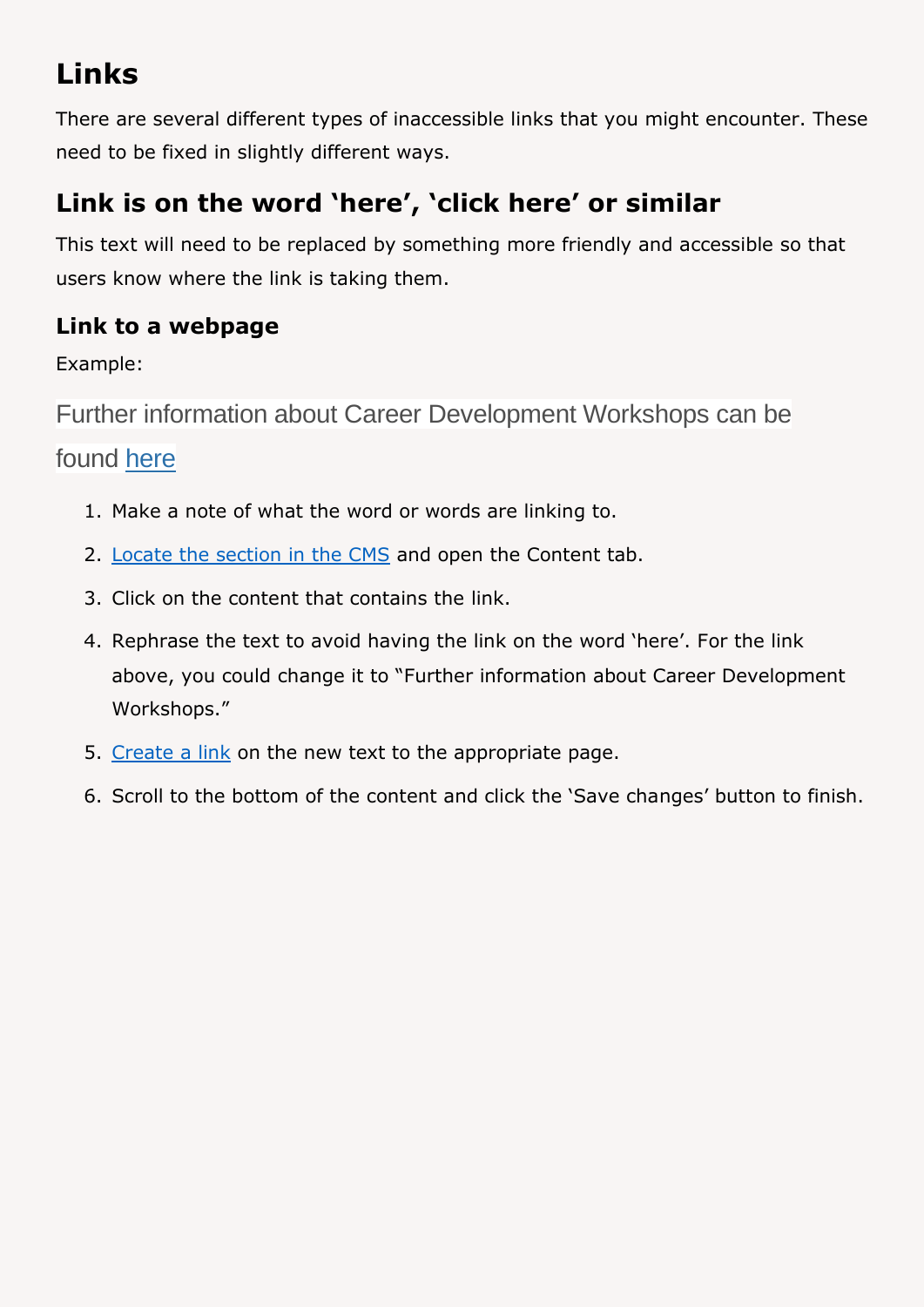# <span id="page-4-0"></span>**Links**

There are several different types of inaccessible links that you might encounter. These need to be fixed in slightly different ways.

# <span id="page-4-1"></span>**Link is on the word 'here', 'click here' or similar**

This text will need to be replaced by something more friendly and accessible so that users know where the link is taking them.

### <span id="page-4-2"></span>**Link to a webpage**

Example:

Further information about Career Development Workshops can be

### found here

- 1. Make a note of what the word or words are linking to.
- 2. [Locate the section in the CMS](https://faqs.aber.ac.uk/index.php?id=2304) and open the Content tab.
- 3. Click on the content that contains the link.
- 4. Rephrase the text to avoid having the link on the word 'here'. For the link above, you could change it to "Further information about Career Development Workshops."
- 5. [Create a link](https://faqs.aber.ac.uk/index.php?id=2149) on the new text to the appropriate page.
- 6. Scroll to the bottom of the content and click the 'Save changes' button to finish.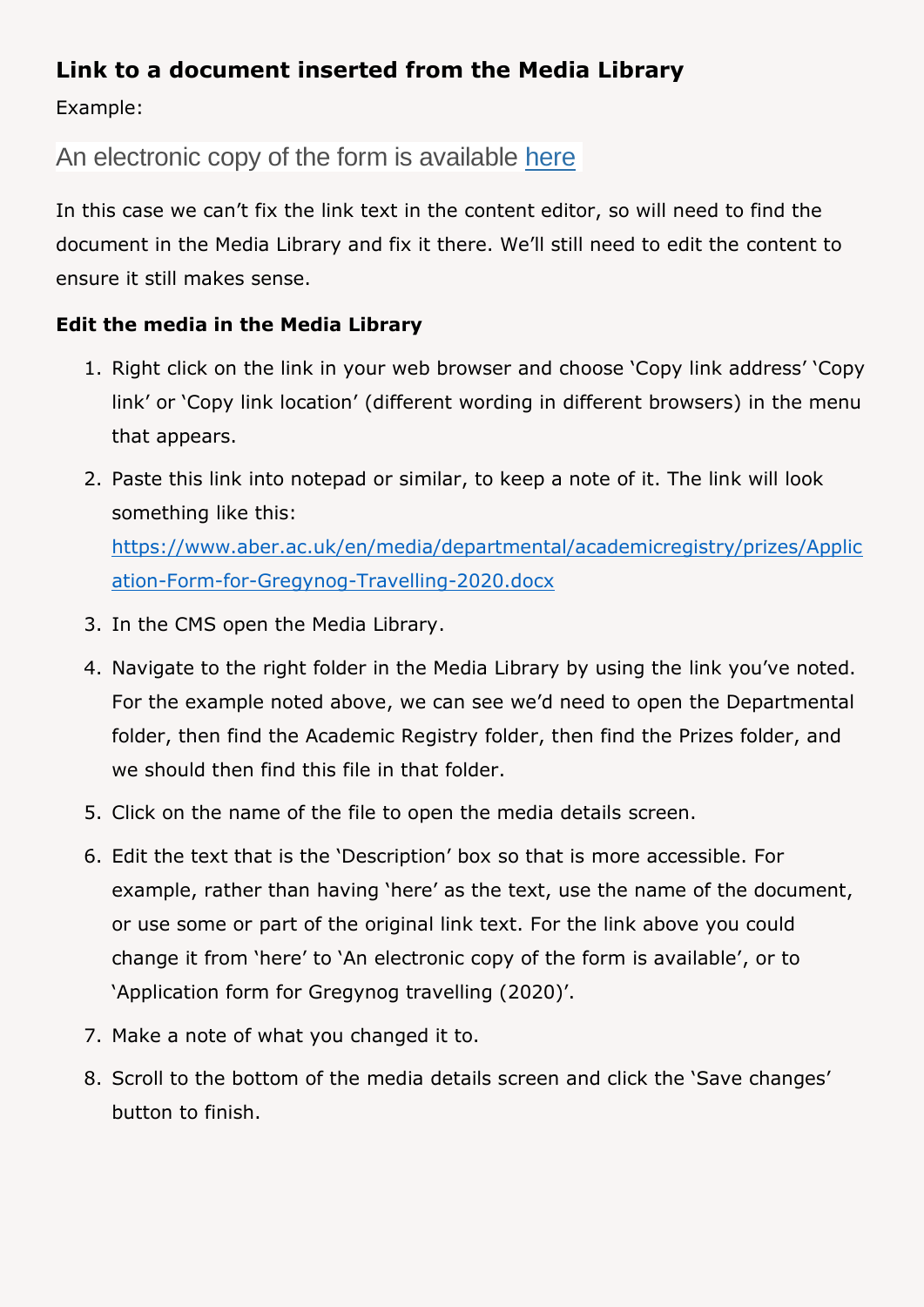### <span id="page-5-0"></span>**Link to a document inserted from the Media Library**

Example:

### An electronic copy of the form is available here

In this case we can't fix the link text in the content editor, so will need to find the document in the Media Library and fix it there. We'll still need to edit the content to ensure it still makes sense.

#### **Edit the media in the Media Library**

- 1. Right click on the link in your web browser and choose 'Copy link address' 'Copy link' or 'Copy link location' (different wording in different browsers) in the menu that appears.
- 2. Paste this link into notepad or similar, to keep a note of it. The link will look something like this: [https://www.aber.ac.uk/en/media/departmental/academicregistry/prizes/Applic](https://www.aber.ac.uk/en/media/departmental/academicregistry/prizes/Application-Form-for-Gregynog-Travelling-2020.docx) [ation-Form-for-Gregynog-Travelling-2020.docx](https://www.aber.ac.uk/en/media/departmental/academicregistry/prizes/Application-Form-for-Gregynog-Travelling-2020.docx)
- 3. In the CMS open the Media Library.
- 4. Navigate to the right folder in the Media Library by using the link you've noted. For the example noted above, we can see we'd need to open the Departmental folder, then find the Academic Registry folder, then find the Prizes folder, and we should then find this file in that folder.
- 5. Click on the name of the file to open the media details screen.
- 6. Edit the text that is the 'Description' box so that is more accessible. For example, rather than having 'here' as the text, use the name of the document, or use some or part of the original link text. For the link above you could change it from 'here' to 'An electronic copy of the form is available', or to 'Application form for Gregynog travelling (2020)'.
- 7. Make a note of what you changed it to.
- 8. Scroll to the bottom of the media details screen and click the 'Save changes' button to finish.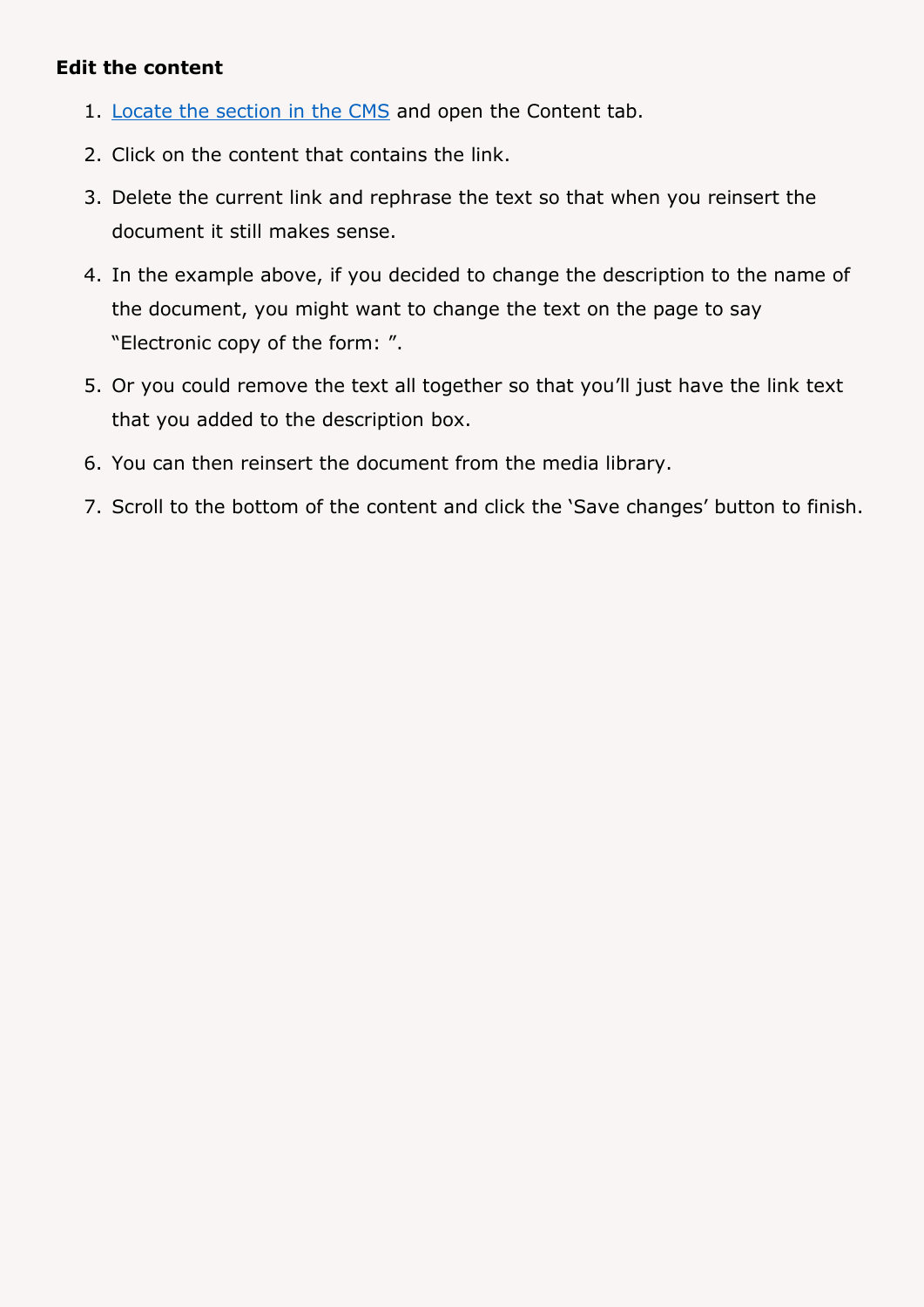#### **Edit the content**

- 1. [Locate the section in the CMS](https://faqs.aber.ac.uk/index.php?id=2304) and open the Content tab.
- 2. Click on the content that contains the link.
- 3. Delete the current link and rephrase the text so that when you reinsert the document it still makes sense.
- 4. In the example above, if you decided to change the description to the name of the document, you might want to change the text on the page to say "Electronic copy of the form: ".
- 5. Or you could remove the text all together so that you'll just have the link text that you added to the description box.
- 6. You can then reinsert the document from the media library.
- 7. Scroll to the bottom of the content and click the 'Save changes' button to finish.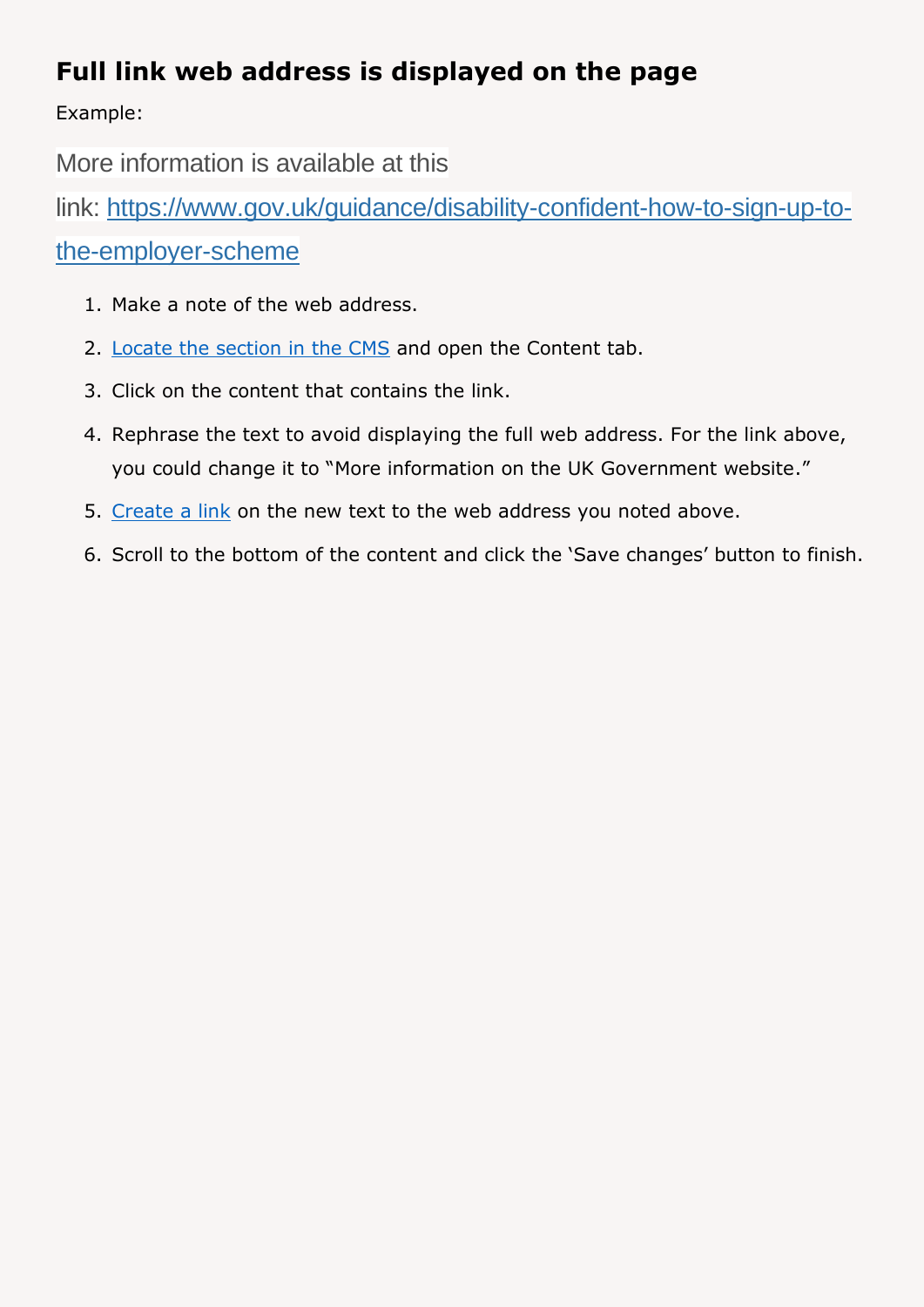## <span id="page-7-0"></span>**Full link web address is displayed on the page**

Example:

More information is available at this

link: [https://www.gov.uk/guidance/disability-confident-how-to-sign-up-to-](https://www.gov.uk/guidance/disability-confident-how-to-sign-up-to-the-employer-scheme)

[the-employer-scheme](https://www.gov.uk/guidance/disability-confident-how-to-sign-up-to-the-employer-scheme)

- 1. Make a note of the web address.
- 2. [Locate the section in the CMS](https://faqs.aber.ac.uk/index.php?id=2304) and open the Content tab.
- 3. Click on the content that contains the link.
- 4. Rephrase the text to avoid displaying the full web address. For the link above, you could change it to "More information on the UK Government website."
- 5. [Create a link](https://faqs.aber.ac.uk/index.php?id=2149) on the new text to the web address you noted above.
- 6. Scroll to the bottom of the content and click the 'Save changes' button to finish.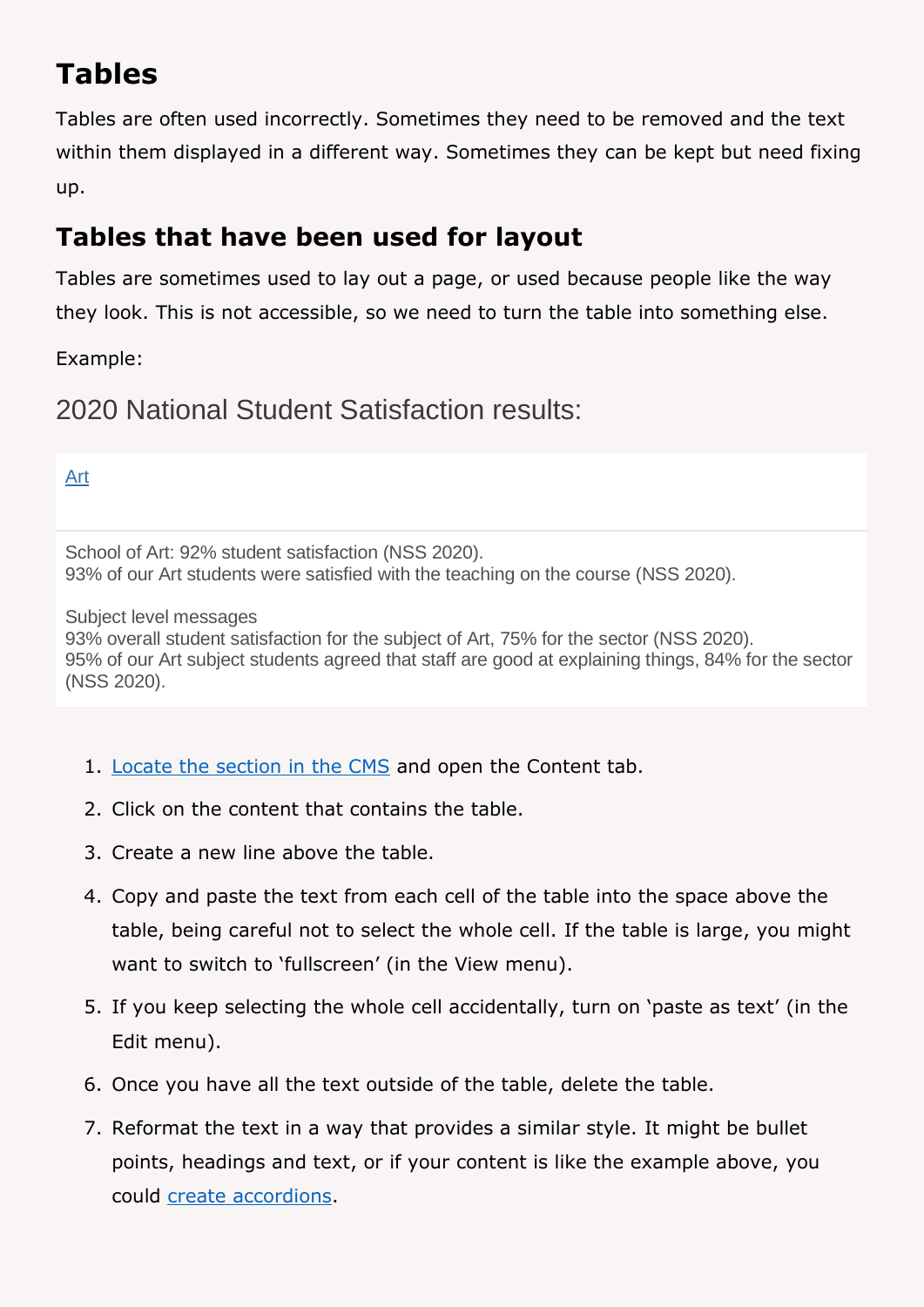# <span id="page-8-0"></span>**Tables**

Tables are often used incorrectly. Sometimes they need to be removed and the text within them displayed in a different way. Sometimes they can be kept but need fixing up.

## <span id="page-8-1"></span>**Tables that have been used for layout**

Tables are sometimes used to lay out a page, or used because people like the way they look. This is not accessible, so we need to turn the table into something else.

Example:

2020 National Student Satisfaction results:

#### [Art](https://www.aber.ac.uk/en/art/)

School of Art: 92% student satisfaction (NSS 2020). 93% of our Art students were satisfied with the teaching on the course (NSS 2020).

Subject level messages

93% overall student satisfaction for the subject of Art, 75% for the sector (NSS 2020). 95% of our Art subject students agreed that staff are good at explaining things, 84% for the sector (NSS 2020).

- 1. [Locate the section in the CMS](https://faqs.aber.ac.uk/index.php?id=2304) and open the Content tab.
- 2. Click on the content that contains the table.
- 3. Create a new line above the table.
- 4. Copy and paste the text from each cell of the table into the space above the table, being careful not to select the whole cell. If the table is large, you might want to switch to 'fullscreen' (in the View menu).
- 5. If you keep selecting the whole cell accidentally, turn on 'paste as text' (in the Edit menu).
- 6. Once you have all the text outside of the table, delete the table.
- 7. Reformat the text in a way that provides a similar style. It might be bullet points, headings and text, or if your content is like the example above, you could [create accordions.](https://www.aber.ac.uk/en/media/departmental/web/cms/InfoSheet13.0.pdf)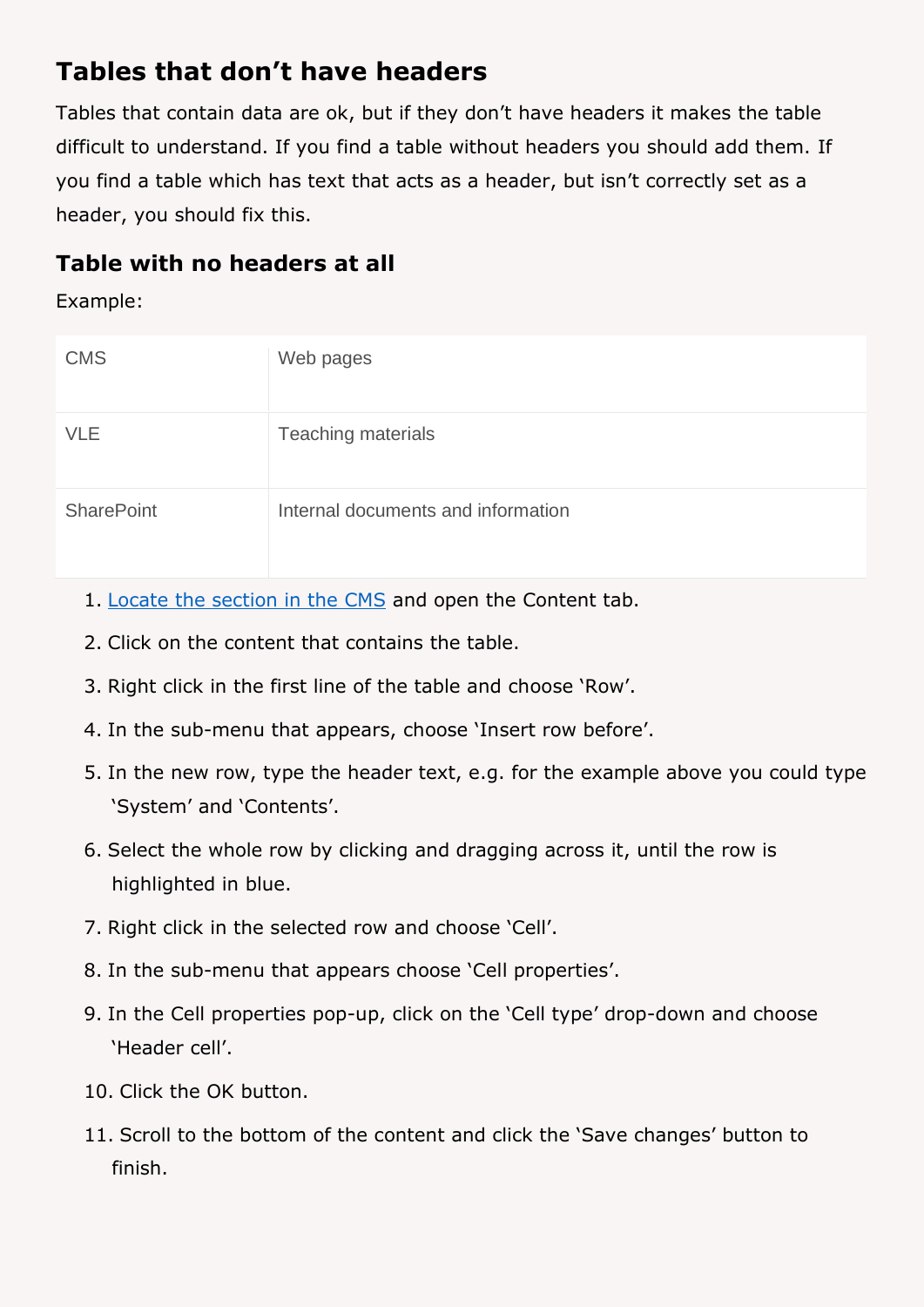## <span id="page-9-0"></span>**Tables that don't have headers**

Tables that contain data are ok, but if they don't have headers it makes the table difficult to understand. If you find a table without headers you should add them. If you find a table which has text that acts as a header, but isn't correctly set as a header, you should fix this.

### <span id="page-9-1"></span>**Table with no headers at all**

Example:

| <b>CMS</b>        | Web pages                          |
|-------------------|------------------------------------|
| <b>VLE</b>        | <b>Teaching materials</b>          |
| <b>SharePoint</b> | Internal documents and information |

- 1. [Locate the section in the CMS](https://faqs.aber.ac.uk/index.php?id=2304) and open the Content tab.
- 2. Click on the content that contains the table.
- 3. Right click in the first line of the table and choose 'Row'.
- 4. In the sub-menu that appears, choose 'Insert row before'.
- 5. In the new row, type the header text, e.g. for the example above you could type 'System' and 'Contents'.
- 6. Select the whole row by clicking and dragging across it, until the row is highlighted in blue.
- 7. Right click in the selected row and choose 'Cell'.
- 8. In the sub-menu that appears choose 'Cell properties'.
- 9. In the Cell properties pop-up, click on the 'Cell type' drop-down and choose 'Header cell'.
- 10. Click the OK button.
- 11. Scroll to the bottom of the content and click the 'Save changes' button to finish.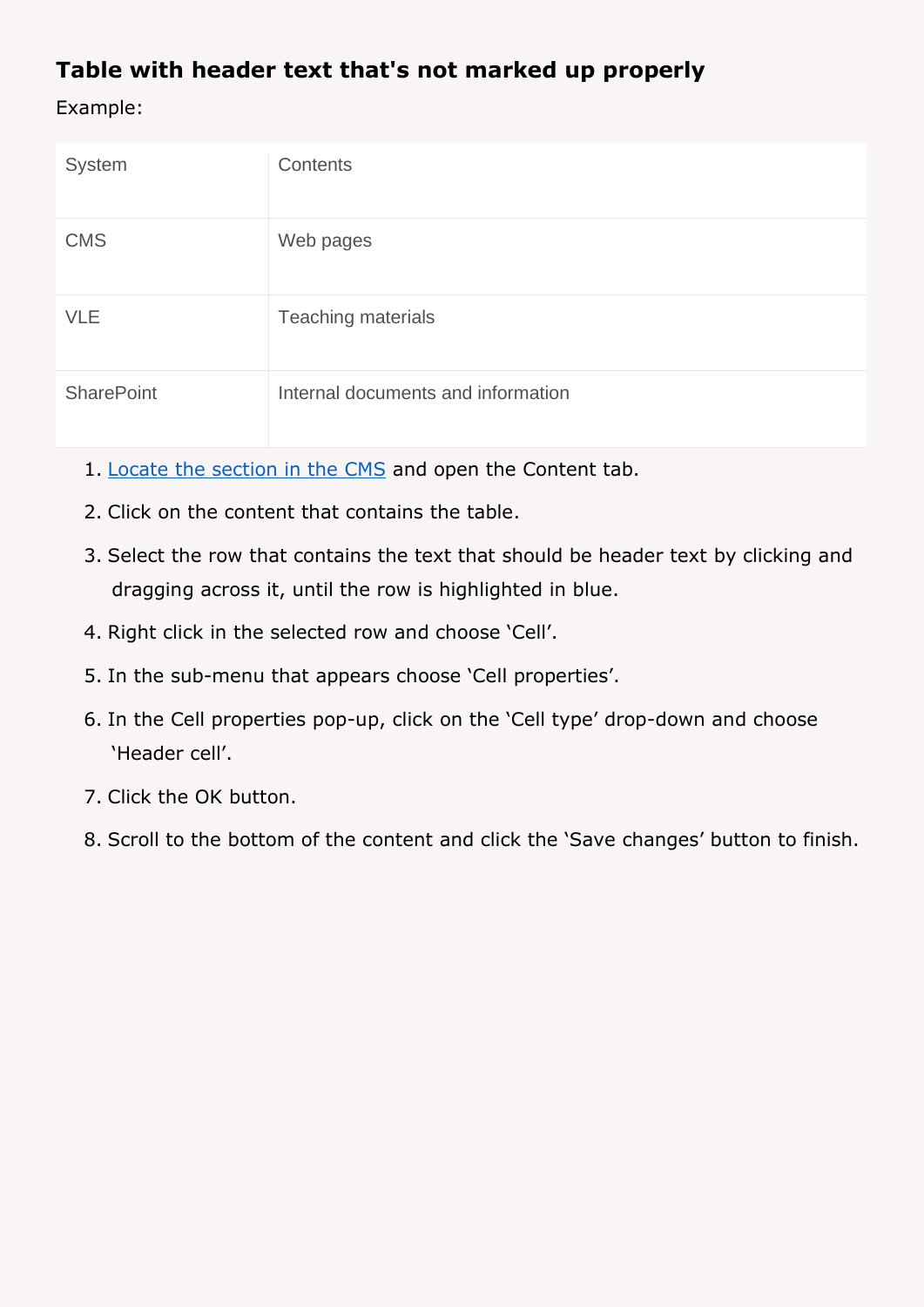### <span id="page-10-0"></span>**Table with header text that's not marked up properly**

Example:

| System            | Contents                           |
|-------------------|------------------------------------|
| <b>CMS</b>        | Web pages                          |
| <b>VLE</b>        | <b>Teaching materials</b>          |
| <b>SharePoint</b> | Internal documents and information |

- 1. [Locate the section in the CMS](https://faqs.aber.ac.uk/index.php?id=2304) and open the Content tab.
- 2. Click on the content that contains the table.
- 3. Select the row that contains the text that should be header text by clicking and dragging across it, until the row is highlighted in blue.
- 4. Right click in the selected row and choose 'Cell'.
- 5. In the sub-menu that appears choose 'Cell properties'.
- 6. In the Cell properties pop-up, click on the 'Cell type' drop-down and choose 'Header cell'.
- 7. Click the OK button.
- 8. Scroll to the bottom of the content and click the 'Save changes' button to finish.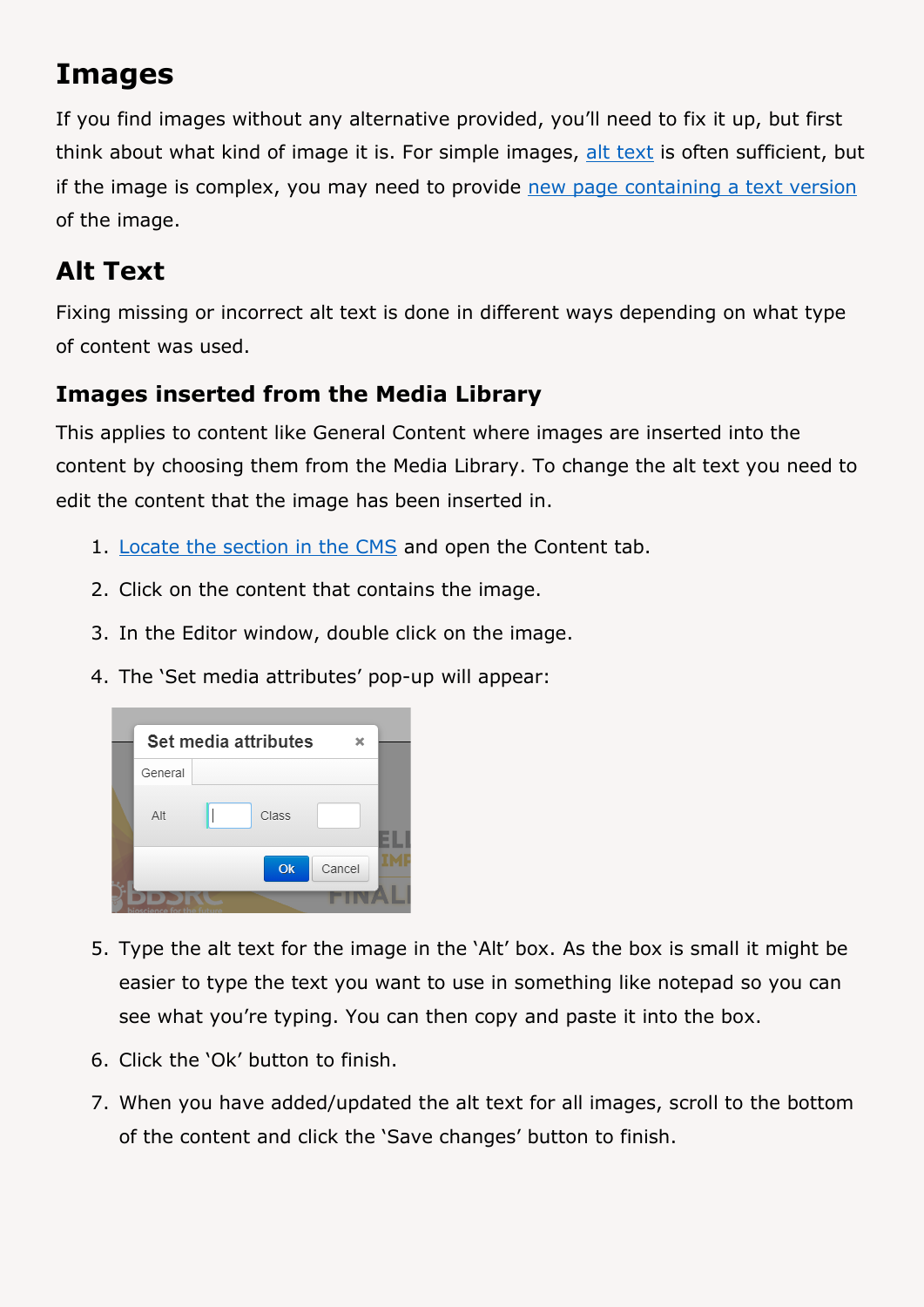# <span id="page-11-0"></span>**Images**

If you find images without any alternative provided, you'll need to fix it up, but first think about what kind of image it is. For simple images, [alt text](#page-11-1) is often sufficient, but if the image is complex, you may need to provide [new page containing a text version](#page-13-0) of the image.

# <span id="page-11-1"></span>**Alt Text**

Fixing missing or incorrect alt text is done in different ways depending on what type of content was used.

### <span id="page-11-2"></span>**Images inserted from the Media Library**

This applies to content like General Content where images are inserted into the content by choosing them from the Media Library. To change the alt text you need to edit the content that the image has been inserted in.

- 1. [Locate the section in the CMS](https://faqs.aber.ac.uk/index.php?id=2304) and open the Content tab.
- 2. Click on the content that contains the image.
- 3. In the Editor window, double click on the image.
- 4. The 'Set media attributes' pop-up will appear:



- 5. Type the alt text for the image in the 'Alt' box. As the box is small it might be easier to type the text you want to use in something like notepad so you can see what you're typing. You can then copy and paste it into the box.
- 6. Click the 'Ok' button to finish.
- 7. When you have added/updated the alt text for all images, scroll to the bottom of the content and click the 'Save changes' button to finish.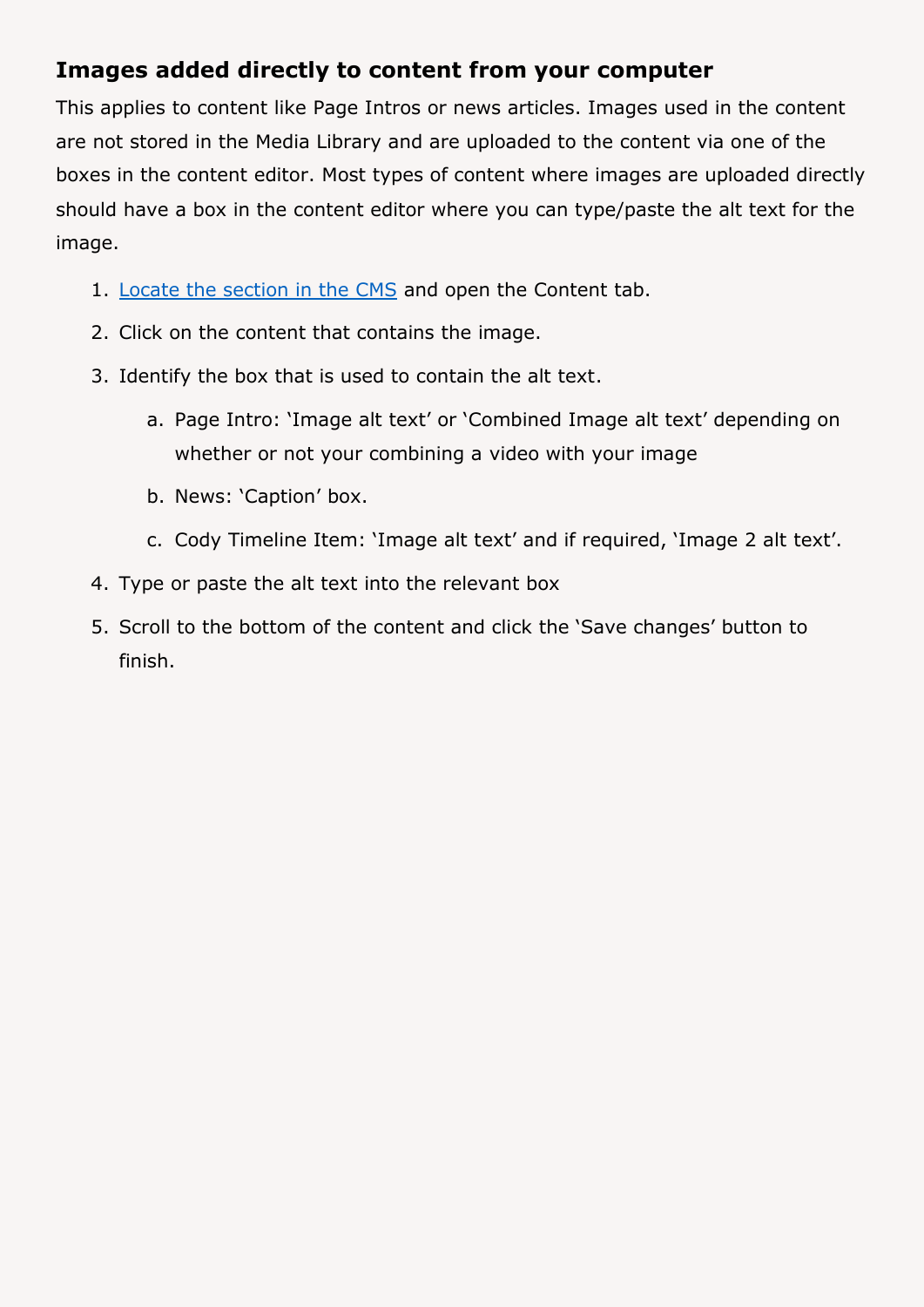### <span id="page-12-0"></span>**Images added directly to content from your computer**

This applies to content like Page Intros or news articles. Images used in the content are not stored in the Media Library and are uploaded to the content via one of the boxes in the content editor. Most types of content where images are uploaded directly should have a box in the content editor where you can type/paste the alt text for the image.

- 1. [Locate the section in the CMS](https://faqs.aber.ac.uk/index.php?id=2304) and open the Content tab.
- 2. Click on the content that contains the image.
- 3. Identify the box that is used to contain the alt text.
	- a. Page Intro: 'Image alt text' or 'Combined Image alt text' depending on whether or not your combining a video with your image
	- b. News: 'Caption' box.
	- c. Cody Timeline Item: 'Image alt text' and if required, 'Image 2 alt text'.
- 4. Type or paste the alt text into the relevant box
- 5. Scroll to the bottom of the content and click the 'Save changes' button to finish.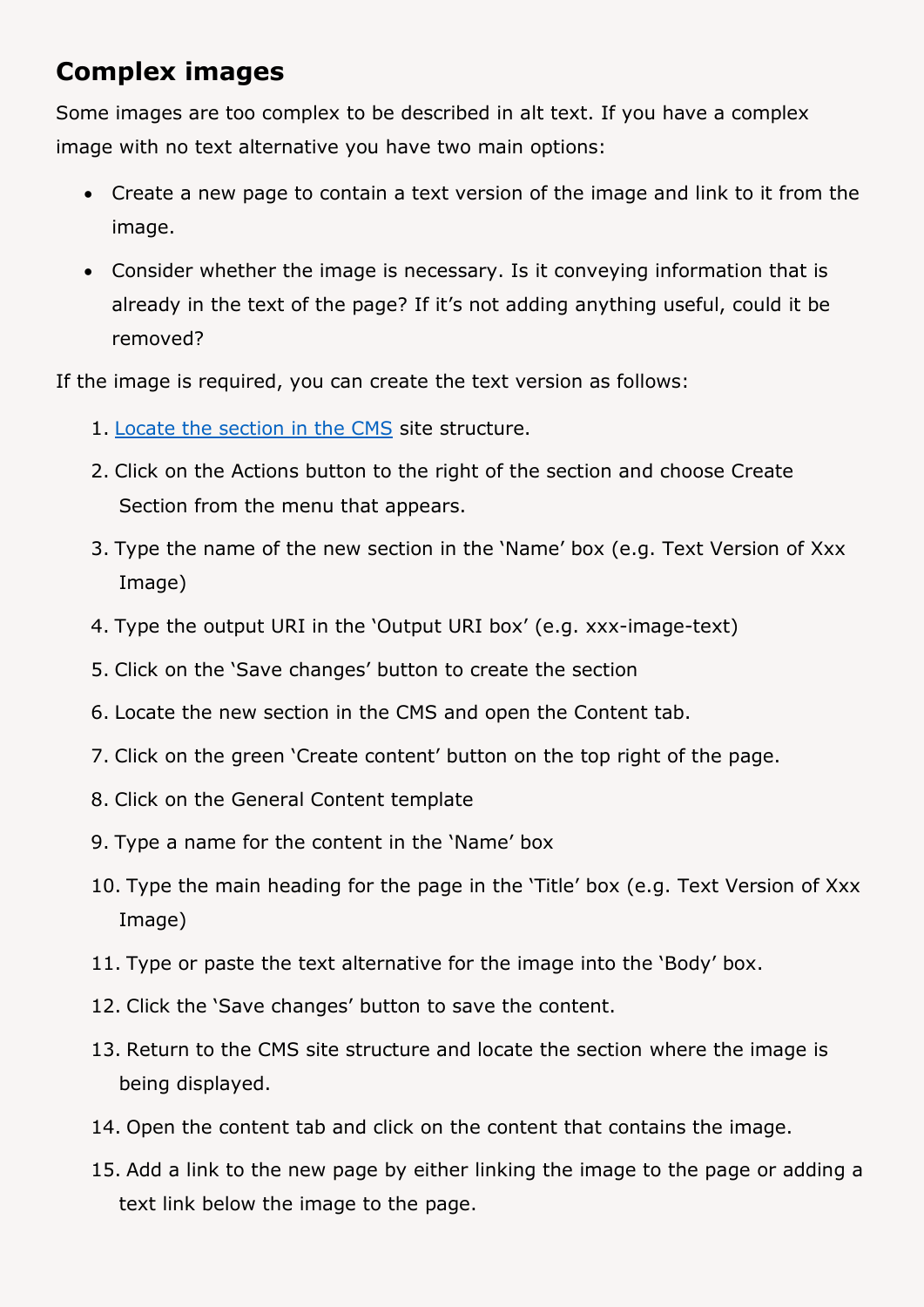### <span id="page-13-0"></span>**Complex images**

Some images are too complex to be described in alt text. If you have a complex image with no text alternative you have two main options:

- Create a new page to contain a text version of the image and link to it from the image.
- Consider whether the image is necessary. Is it conveying information that is already in the text of the page? If it's not adding anything useful, could it be removed?

If the image is required, you can create the text version as follows:

- 1. [Locate the section in the CMS](https://faqs.aber.ac.uk/index.php?id=2304) site structure.
- 2. Click on the Actions button to the right of the section and choose Create Section from the menu that appears.
- 3. Type the name of the new section in the 'Name' box (e.g. Text Version of Xxx Image)
- 4. Type the output URI in the 'Output URI box' (e.g. xxx-image-text)
- 5. Click on the 'Save changes' button to create the section
- 6. Locate the new section in the CMS and open the Content tab.
- 7. Click on the green 'Create content' button on the top right of the page.
- 8. Click on the General Content template
- 9. Type a name for the content in the 'Name' box
- 10. Type the main heading for the page in the 'Title' box (e.g. Text Version of Xxx Image)
- 11. Type or paste the text alternative for the image into the 'Body' box.
- 12. Click the 'Save changes' button to save the content.
- 13. Return to the CMS site structure and locate the section where the image is being displayed.
- 14. Open the content tab and click on the content that contains the image.
- 15. Add a link to the new page by either linking the image to the page or adding a text link below the image to the page.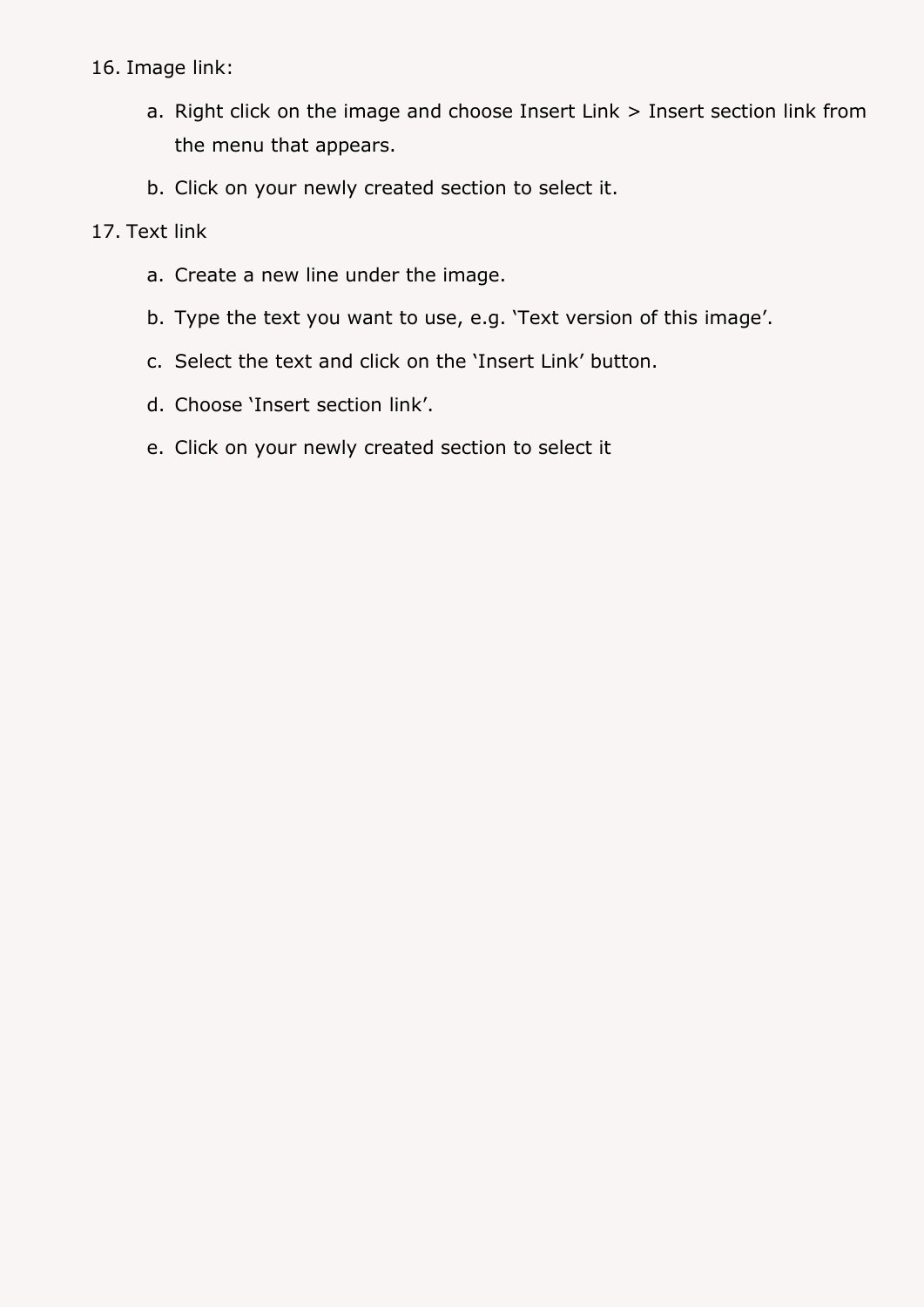#### 16. Image link:

- a. Right click on the image and choose Insert Link > Insert section link from the menu that appears.
- b. Click on your newly created section to select it.

#### 17. Text link

- a. Create a new line under the image.
- b. Type the text you want to use, e.g. 'Text version of this image'.
- c. Select the text and click on the 'Insert Link' button.
- d. Choose 'Insert section link'.
- e. Click on your newly created section to select it